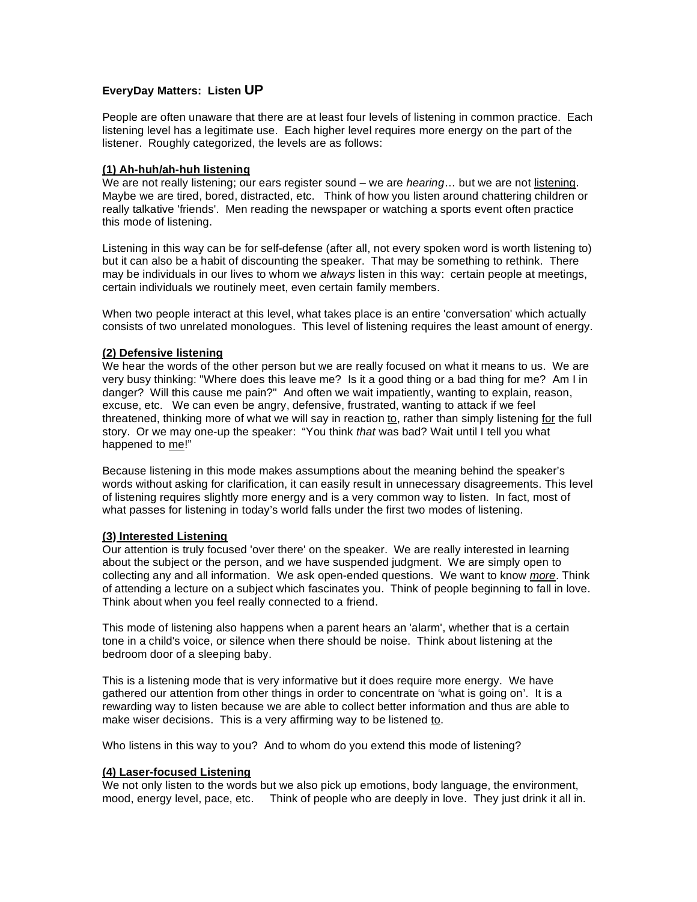## **EveryDay Matters: Listen UP**

People are often unaware that there are at least four levels of listening in common practice. Each listening level has a legitimate use. Each higher level requires more energy on the part of the listener. Roughly categorized, the levels are as follows:

# **(1) Ah-huh/ah-huh listening**

We are not really listening; our ears register sound – we are *hearing*… but we are not listening. Maybe we are tired, bored, distracted, etc. Think of how you listen around chattering children or really talkative 'friends'. Men reading the newspaper or watching a sports event often practice this mode of listening.

Listening in this way can be for self-defense (after all, not every spoken word is worth listening to) but it can also be a habit of discounting the speaker. That may be something to rethink. There may be individuals in our lives to whom we *always* listen in this way: certain people at meetings, certain individuals we routinely meet, even certain family members.

When two people interact at this level, what takes place is an entire 'conversation' which actually consists of two unrelated monologues. This level of listening requires the least amount of energy.

# **(2) Defensive listening**

We hear the words of the other person but we are really focused on what it means to us. We are very busy thinking: "Where does this leave me? Is it a good thing or a bad thing for me? Am I in danger? Will this cause me pain?" And often we wait impatiently, wanting to explain, reason, excuse, etc. We can even be angry, defensive, frustrated, wanting to attack if we feel threatened, thinking more of what we will say in reaction to, rather than simply listening for the full story. Or we may one-up the speaker: "You think *that* was bad? Wait until I tell you what happened to me!"

Because listening in this mode makes assumptions about the meaning behind the speaker's words without asking for clarification, it can easily result in unnecessary disagreements. This level of listening requires slightly more energy and is a very common way to listen. In fact, most of what passes for listening in today's world falls under the first two modes of listening.

### **(3) Interested Listening**

Our attention is truly focused 'over there' on the speaker. We are really interested in learning about the subject or the person, and we have suspended judgment. We are simply open to collecting any and all information. We ask open-ended questions. We want to know *more*. Think of attending a lecture on a subject which fascinates you. Think of people beginning to fall in love. Think about when you feel really connected to a friend.

This mode of listening also happens when a parent hears an 'alarm', whether that is a certain tone in a child's voice, or silence when there should be noise. Think about listening at the bedroom door of a sleeping baby.

This is a listening mode that is very informative but it does require more energy. We have gathered our attention from other things in order to concentrate on 'what is going on'. It is a rewarding way to listen because we are able to collect better information and thus are able to make wiser decisions. This is a very affirming way to be listened to.

Who listens in this way to you? And to whom do you extend this mode of listening?

### **(4) Laser-focused Listening**

We not only listen to the words but we also pick up emotions, body language, the environment, mood, energy level, pace, etc. Think of people who are deeply in love. They just drink it all in.